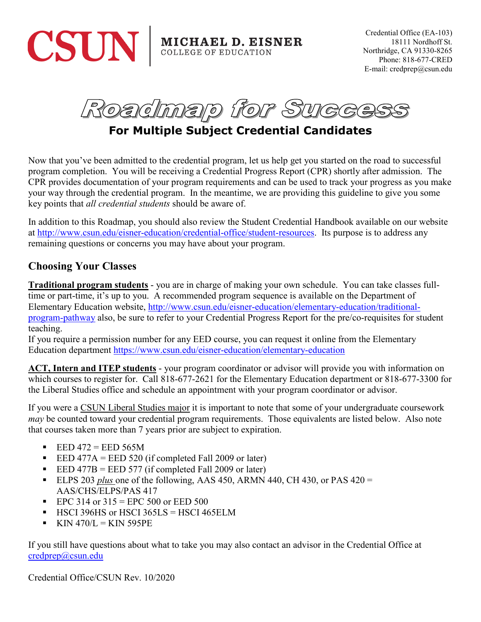

**MICHAEL D. EISNER** COLLEGE OF EDUCATION

Credential Office (EA-103) 18111 Nordhoff St. Northridge, CA 91330-8265 Phone: 818-677-CRED E-mail: credprep@csun.edu

Roadmap for Succ

# **For Multiple Subject Credential Candidates**

Now that you've been admitted to the credential program, let us help get you started on the road to successful program completion. You will be receiving a Credential Progress Report (CPR) shortly after admission. The CPR provides documentation of your program requirements and can be used to track your progress as you make your way through the credential program. In the meantime, we are providing this guideline to give you some key points that *all credential students* should be aware of.

In addition to this Roadmap, you should also review the Student Credential Handbook available on our website at [http://www.csun.edu/eisner-education/credential-office/student-resources.](http://www.csun.edu/eisner-education/credential-office/student-resources) Its purpose is to address any remaining questions or concerns you may have about your program.

#### **Choosing Your Classes**

**Traditional program students** - you are in charge of making your own schedule. You can take classes fulltime or part-time, it's up to you. A recommended program sequence is available on the Department of Elementary Education website, [http://www.csun.edu/eisner-education/elementary-education/traditional](http://www.csun.edu/eisner-education/elementary-education/traditional-program-pathway)[program-pathway](http://www.csun.edu/eisner-education/elementary-education/traditional-program-pathway) also, be sure to refer to your Credential Progress Report for the pre/co-requisites for student teaching.

If you require a permission number for any EED course, you can request it online from the Elementary Education department<https://www.csun.edu/eisner-education/elementary-education>

**ACT, Intern and ITEP students** - your program coordinator or advisor will provide you with information on which courses to register for. Call 818-677-2621 for the Elementary Education department or 818-677-3300 for the Liberal Studies office and schedule an appointment with your program coordinator or advisor.

If you were a CSUN Liberal Studies major it is important to note that some of your undergraduate coursework *may* be counted toward your credential program requirements. Those equivalents are listed below. Also note that courses taken more than 7 years prior are subject to expiration.

- $\text{EED } 472 = \text{EED } 565 \text{M}$
- EED 477A = EED 520 (if completed Fall 2009 or later)
- EED 477B = EED 577 (if completed Fall 2009 or later)
- ELPS 203 *plus* one of the following, AAS 450, ARMN 440, CH 430, or PAS 420 = AAS/CHS/ELPS/PAS 417
- EPC 314 or  $315 = EPC 500$  or EED 500
- $\blacksquare$  HSCI 396HS or HSCI 365LS = HSCI 465ELM
- $KNN$  470/L = KIN 595PE

If you still have questions about what to take you may also contact an advisor in the Credential Office at [credprep@csun.edu](mailto:credprep@csun.edu)

Credential Office/CSUN Rev. 10/2020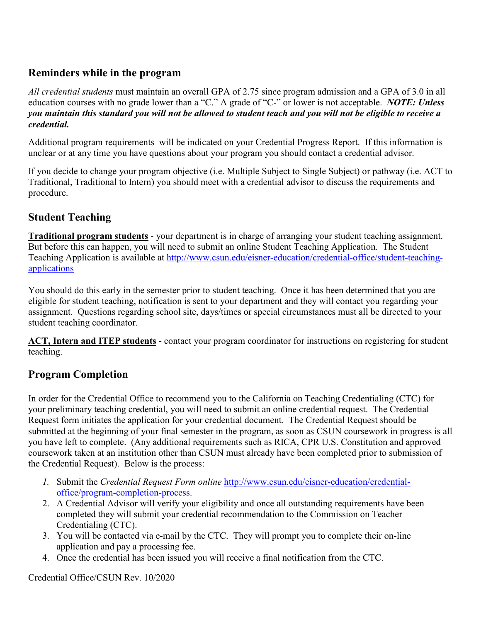### **Reminders while in the program**

*All credential students* must maintain an overall GPA of 2.75 since program admission and a GPA of 3.0 in all education courses with no grade lower than a "C." A grade of "C-" or lower is not acceptable. *NOTE: Unless you maintain this standard you will not be allowed to student teach and you will not be eligible to receive a credential.*

Additional program requirements will be indicated on your Credential Progress Report. If this information is unclear or at any time you have questions about your program you should contact a credential advisor.

If you decide to change your program objective (i.e. Multiple Subject to Single Subject) or pathway (i.e. ACT to Traditional, Traditional to Intern) you should meet with a credential advisor to discuss the requirements and procedure.

## **Student Teaching**

**Traditional program students** - your department is in charge of arranging your student teaching assignment. But before this can happen, you will need to submit an online Student Teaching Application. The Student Teaching Application is available at [http://www.csun.edu/eisner-education/credential-office/student-teaching](http://www.csun.edu/eisner-education/credential-office/student-teaching-applications)[applications](http://www.csun.edu/eisner-education/credential-office/student-teaching-applications)

You should do this early in the semester prior to student teaching. Once it has been determined that you are eligible for student teaching, notification is sent to your department and they will contact you regarding your assignment. Questions regarding school site, days/times or special circumstances must all be directed to your student teaching coordinator.

**ACT, Intern and ITEP students** - contact your program coordinator for instructions on registering for student teaching.

## **Program Completion**

In order for the Credential Office to recommend you to the California on Teaching Credentialing (CTC) for your preliminary teaching credential, you will need to submit an online credential request. The Credential Request form initiates the application for your credential document. The Credential Request should be submitted at the beginning of your final semester in the program, as soon as CSUN coursework in progress is all you have left to complete. (Any additional requirements such as RICA, CPR U.S. Constitution and approved coursework taken at an institution other than CSUN must already have been completed prior to submission of the Credential Request). Below is the process:

- *1.* Submit the *Credential Request Form online* [http://www.csun.edu/eisner-education/credential](http://www.csun.edu/eisner-education/credential-office/program-completion-process)[office/program-completion-process.](http://www.csun.edu/eisner-education/credential-office/program-completion-process)
- 2. A Credential Advisor will verify your eligibility and once all outstanding requirements have been completed they will submit your credential recommendation to the Commission on Teacher Credentialing (CTC).
- 3. You will be contacted via e-mail by the CTC. They will prompt you to complete their on-line application and pay a processing fee.
- 4. Once the credential has been issued you will receive a final notification from the CTC.

Credential Office/CSUN Rev. 10/2020